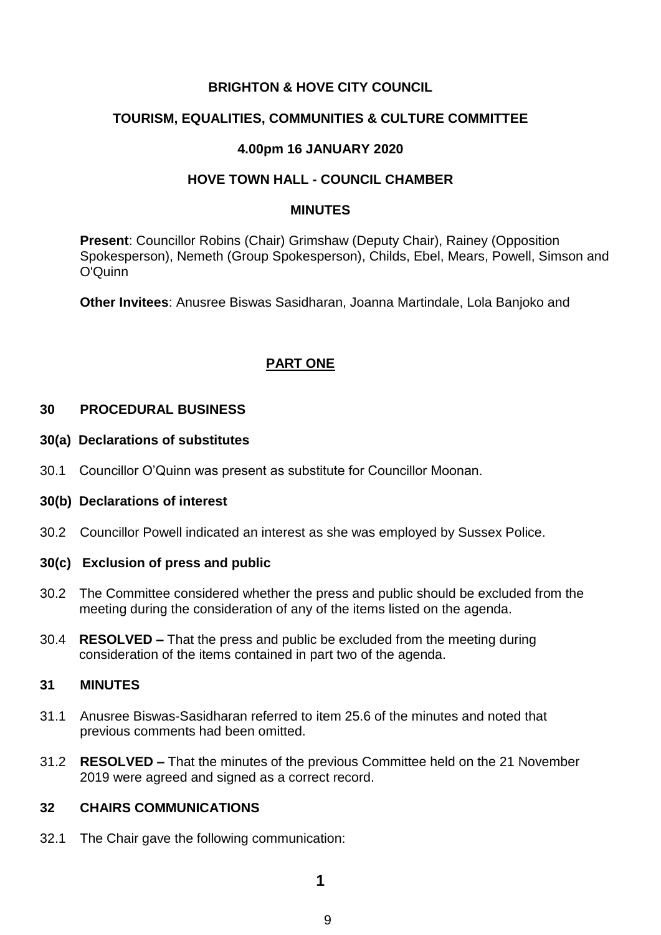## **BRIGHTON & HOVE CITY COUNCIL**

## **TOURISM, EQUALITIES, COMMUNITIES & CULTURE COMMITTEE**

## **4.00pm 16 JANUARY 2020**

## **HOVE TOWN HALL - COUNCIL CHAMBER**

#### **MINUTES**

**Present**: Councillor Robins (Chair) Grimshaw (Deputy Chair), Rainey (Opposition Spokesperson), Nemeth (Group Spokesperson), Childs, Ebel, Mears, Powell, Simson and O'Quinn

**Other Invitees**: Anusree Biswas Sasidharan, Joanna Martindale, Lola Banjoko and

## **PART ONE**

### **30 PROCEDURAL BUSINESS**

#### **30(a) Declarations of substitutes**

30.1 Councillor O'Quinn was present as substitute for Councillor Moonan.

#### **30(b) Declarations of interest**

30.2 Councillor Powell indicated an interest as she was employed by Sussex Police.

## **30(c) Exclusion of press and public**

- 30.2 The Committee considered whether the press and public should be excluded from the meeting during the consideration of any of the items listed on the agenda.
- 30.4 **RESOLVED –** That the press and public be excluded from the meeting during consideration of the items contained in part two of the agenda.

#### **31 MINUTES**

- 31.1 Anusree Biswas-Sasidharan referred to item 25.6 of the minutes and noted that previous comments had been omitted.
- 31.2 **RESOLVED –** That the minutes of the previous Committee held on the 21 November 2019 were agreed and signed as a correct record.

## **32 CHAIRS COMMUNICATIONS**

32.1 The Chair gave the following communication: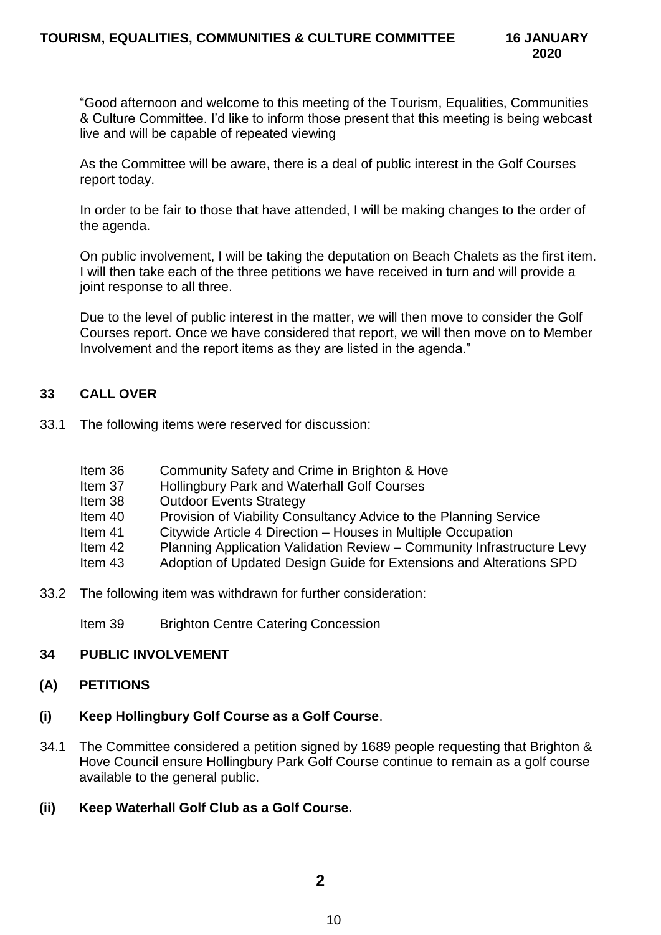"Good afternoon and welcome to this meeting of the Tourism, Equalities, Communities & Culture Committee. I'd like to inform those present that this meeting is being webcast live and will be capable of repeated viewing

As the Committee will be aware, there is a deal of public interest in the Golf Courses report today.

In order to be fair to those that have attended, I will be making changes to the order of the agenda.

On public involvement, I will be taking the deputation on Beach Chalets as the first item. I will then take each of the three petitions we have received in turn and will provide a joint response to all three.

Due to the level of public interest in the matter, we will then move to consider the Golf Courses report. Once we have considered that report, we will then move on to Member Involvement and the report items as they are listed in the agenda."

## **33 CALL OVER**

- 33.1 The following items were reserved for discussion:
	- Item 36 Community Safety and Crime in Brighton & Hove
	- Item 37 Hollingbury Park and Waterhall Golf Courses
	- Item 38 Outdoor Events Strategy
	- Item 40 Provision of Viability Consultancy Advice to the Planning Service
	- Item 41 Citywide Article 4 Direction Houses in Multiple Occupation
	- Item 42 Planning Application Validation Review Community Infrastructure Levy
	- Item 43 Adoption of Updated Design Guide for Extensions and Alterations SPD
- 33.2 The following item was withdrawn for further consideration:

Item 39 Brighton Centre Catering Concession

## **34 PUBLIC INVOLVEMENT**

## **(A) PETITIONS**

## **(i) Keep Hollingbury Golf Course as a Golf Course**.

- 34.1 The Committee considered a petition signed by 1689 people requesting that Brighton & Hove Council ensure Hollingbury Park Golf Course continue to remain as a golf course available to the general public.
- **(ii) Keep Waterhall Golf Club as a Golf Course.**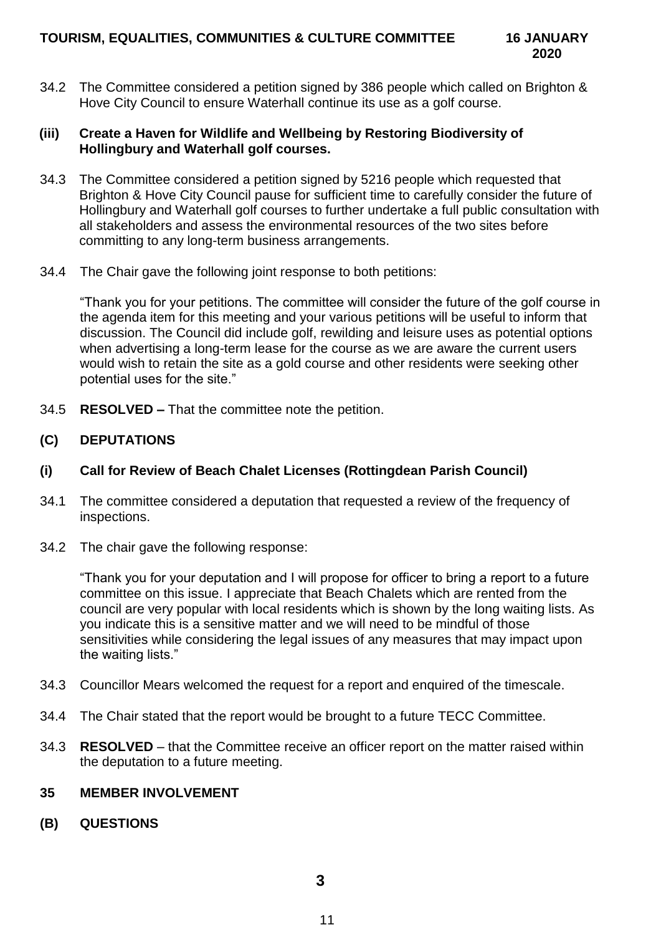34.2 The Committee considered a petition signed by 386 people which called on Brighton & Hove City Council to ensure Waterhall continue its use as a golf course.

### **(iii) Create a Haven for Wildlife and Wellbeing by Restoring Biodiversity of Hollingbury and Waterhall golf courses.**

- 34.3 The Committee considered a petition signed by 5216 people which requested that Brighton & Hove City Council pause for sufficient time to carefully consider the future of Hollingbury and Waterhall golf courses to further undertake a full public consultation with all stakeholders and assess the environmental resources of the two sites before committing to any long-term business arrangements.
- 34.4 The Chair gave the following joint response to both petitions:

"Thank you for your petitions. The committee will consider the future of the golf course in the agenda item for this meeting and your various petitions will be useful to inform that discussion. The Council did include golf, rewilding and leisure uses as potential options when advertising a long-term lease for the course as we are aware the current users would wish to retain the site as a gold course and other residents were seeking other potential uses for the site."

34.5 **RESOLVED –** That the committee note the petition.

## **(C) DEPUTATIONS**

## **(i) Call for Review of Beach Chalet Licenses (Rottingdean Parish Council)**

- 34.1 The committee considered a deputation that requested a review of the frequency of inspections.
- 34.2 The chair gave the following response:

"Thank you for your deputation and I will propose for officer to bring a report to a future committee on this issue. I appreciate that Beach Chalets which are rented from the council are very popular with local residents which is shown by the long waiting lists. As you indicate this is a sensitive matter and we will need to be mindful of those sensitivities while considering the legal issues of any measures that may impact upon the waiting lists."

- 34.3 Councillor Mears welcomed the request for a report and enquired of the timescale.
- 34.4 The Chair stated that the report would be brought to a future TECC Committee.
- 34.3 **RESOLVED**  that the Committee receive an officer report on the matter raised within the deputation to a future meeting.

## **35 MEMBER INVOLVEMENT**

**(B) QUESTIONS**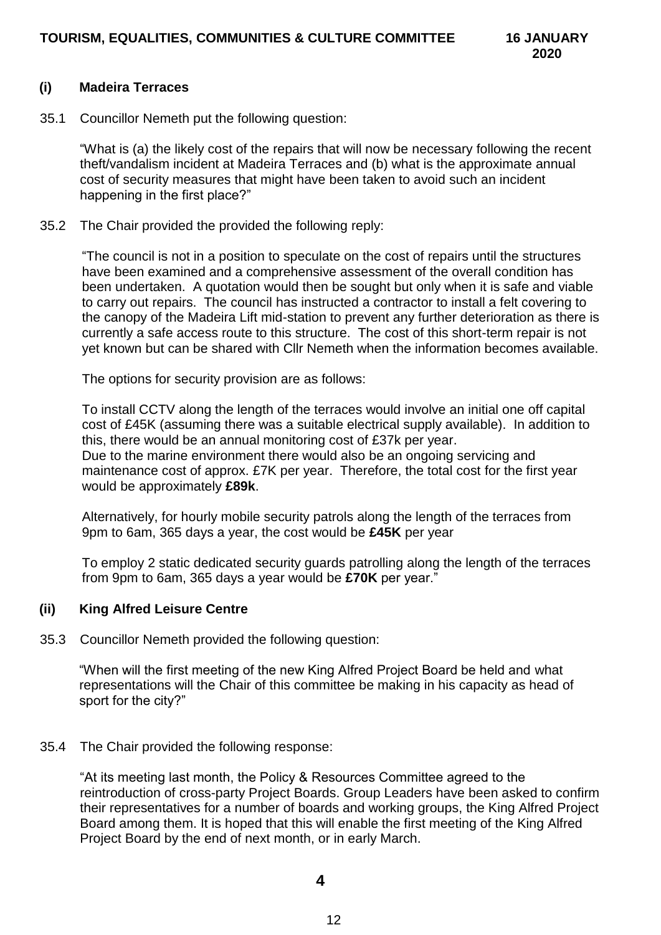### **(i) Madeira Terraces**

35.1 Councillor Nemeth put the following question:

"What is (a) the likely cost of the repairs that will now be necessary following the recent theft/vandalism incident at Madeira Terraces and (b) what is the approximate annual cost of security measures that might have been taken to avoid such an incident happening in the first place?"

35.2 The Chair provided the provided the following reply:

"The council is not in a position to speculate on the cost of repairs until the structures have been examined and a comprehensive assessment of the overall condition has been undertaken. A quotation would then be sought but only when it is safe and viable to carry out repairs. The council has instructed a contractor to install a felt covering to the canopy of the Madeira Lift mid-station to prevent any further deterioration as there is currently a safe access route to this structure. The cost of this short-term repair is not yet known but can be shared with Cllr Nemeth when the information becomes available.

The options for security provision are as follows:

To install CCTV along the length of the terraces would involve an initial one off capital cost of £45K (assuming there was a suitable electrical supply available). In addition to this, there would be an annual monitoring cost of £37k per year. Due to the marine environment there would also be an ongoing servicing and maintenance cost of approx. £7K per year. Therefore, the total cost for the first year

Alternatively, for hourly mobile security patrols along the length of the terraces from 9pm to 6am, 365 days a year, the cost would be **£45K** per year

To employ 2 static dedicated security guards patrolling along the length of the terraces from 9pm to 6am, 365 days a year would be **£70K** per year."

## **(ii) King Alfred Leisure Centre**

would be approximately **£89k**.

35.3 Councillor Nemeth provided the following question:

"When will the first meeting of the new King Alfred Project Board be held and what representations will the Chair of this committee be making in his capacity as head of sport for the city?"

## 35.4 The Chair provided the following response:

"At its meeting last month, the Policy & Resources Committee agreed to the reintroduction of cross-party Project Boards. Group Leaders have been asked to confirm their representatives for a number of boards and working groups, the King Alfred Project Board among them. It is hoped that this will enable the first meeting of the King Alfred Project Board by the end of next month, or in early March.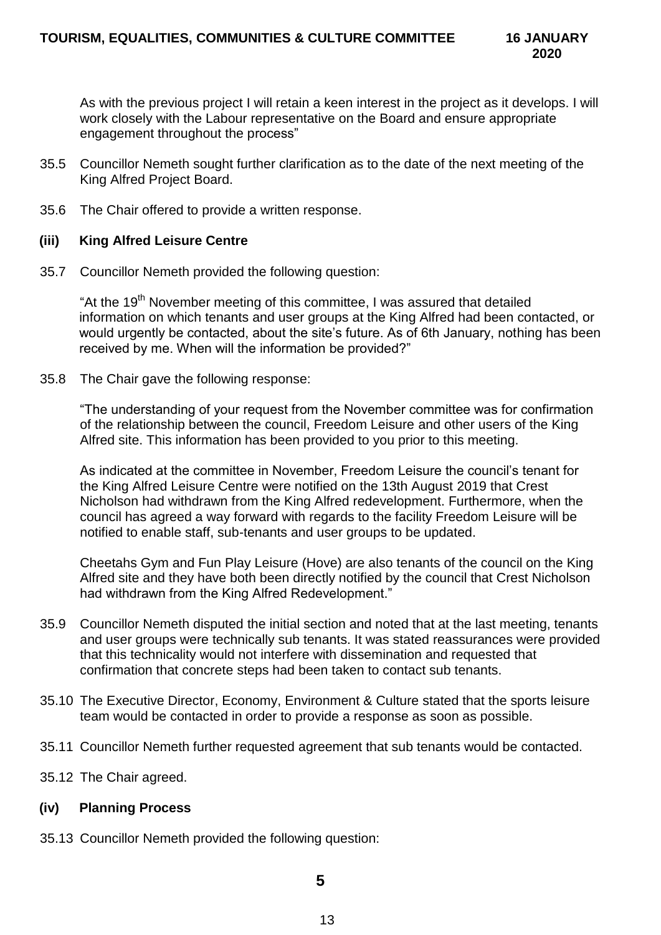As with the previous project I will retain a keen interest in the project as it develops. I will work closely with the Labour representative on the Board and ensure appropriate engagement throughout the process"

- 35.5 Councillor Nemeth sought further clarification as to the date of the next meeting of the King Alfred Project Board.
- 35.6 The Chair offered to provide a written response.

### **(iii) King Alfred Leisure Centre**

35.7 Councillor Nemeth provided the following question:

"At the 19<sup>th</sup> November meeting of this committee, I was assured that detailed information on which tenants and user groups at the King Alfred had been contacted, or would urgently be contacted, about the site's future. As of 6th January, nothing has been received by me. When will the information be provided?"

35.8 The Chair gave the following response:

"The understanding of your request from the November committee was for confirmation of the relationship between the council, Freedom Leisure and other users of the King Alfred site. This information has been provided to you prior to this meeting.

As indicated at the committee in November, Freedom Leisure the council's tenant for the King Alfred Leisure Centre were notified on the 13th August 2019 that Crest Nicholson had withdrawn from the King Alfred redevelopment. Furthermore, when the council has agreed a way forward with regards to the facility Freedom Leisure will be notified to enable staff, sub-tenants and user groups to be updated.

Cheetahs Gym and Fun Play Leisure (Hove) are also tenants of the council on the King Alfred site and they have both been directly notified by the council that Crest Nicholson had withdrawn from the King Alfred Redevelopment."

- 35.9 Councillor Nemeth disputed the initial section and noted that at the last meeting, tenants and user groups were technically sub tenants. It was stated reassurances were provided that this technicality would not interfere with dissemination and requested that confirmation that concrete steps had been taken to contact sub tenants.
- 35.10 The Executive Director, Economy, Environment & Culture stated that the sports leisure team would be contacted in order to provide a response as soon as possible.
- 35.11 Councillor Nemeth further requested agreement that sub tenants would be contacted.
- 35.12 The Chair agreed.

#### **(iv) Planning Process**

35.13 Councillor Nemeth provided the following question: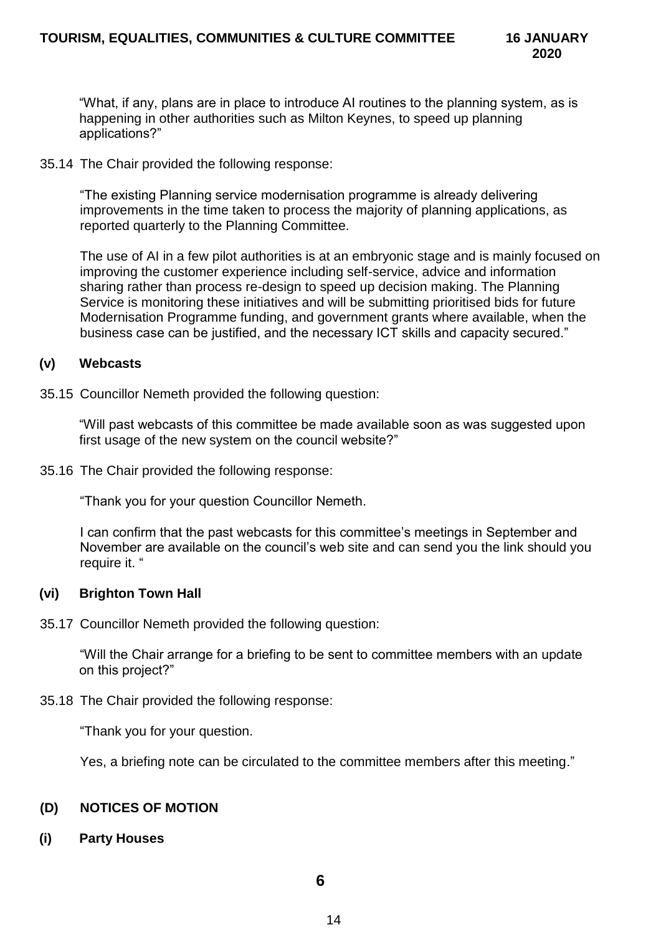"What, if any, plans are in place to introduce AI routines to the planning system, as is happening in other authorities such as Milton Keynes, to speed up planning applications?"

35.14 The Chair provided the following response:

"The existing Planning service modernisation programme is already delivering improvements in the time taken to process the majority of planning applications, as reported quarterly to the Planning Committee.

The use of AI in a few pilot authorities is at an embryonic stage and is mainly focused on improving the customer experience including self-service, advice and information sharing rather than process re-design to speed up decision making. The Planning Service is monitoring these initiatives and will be submitting prioritised bids for future Modernisation Programme funding, and government grants where available, when the business case can be justified, and the necessary ICT skills and capacity secured."

### **(v) Webcasts**

35.15 Councillor Nemeth provided the following question:

"Will past webcasts of this committee be made available soon as was suggested upon first usage of the new system on the council website?"

35.16 The Chair provided the following response:

"Thank you for your question Councillor Nemeth.

I can confirm that the past webcasts for this committee's meetings in September and November are available on the council's web site and can send you the link should you require it. "

## **(vi) Brighton Town Hall**

35.17 Councillor Nemeth provided the following question:

"Will the Chair arrange for a briefing to be sent to committee members with an update on this project?"

35.18 The Chair provided the following response:

"Thank you for your question.

Yes, a briefing note can be circulated to the committee members after this meeting."

## **(D) NOTICES OF MOTION**

**(i) Party Houses**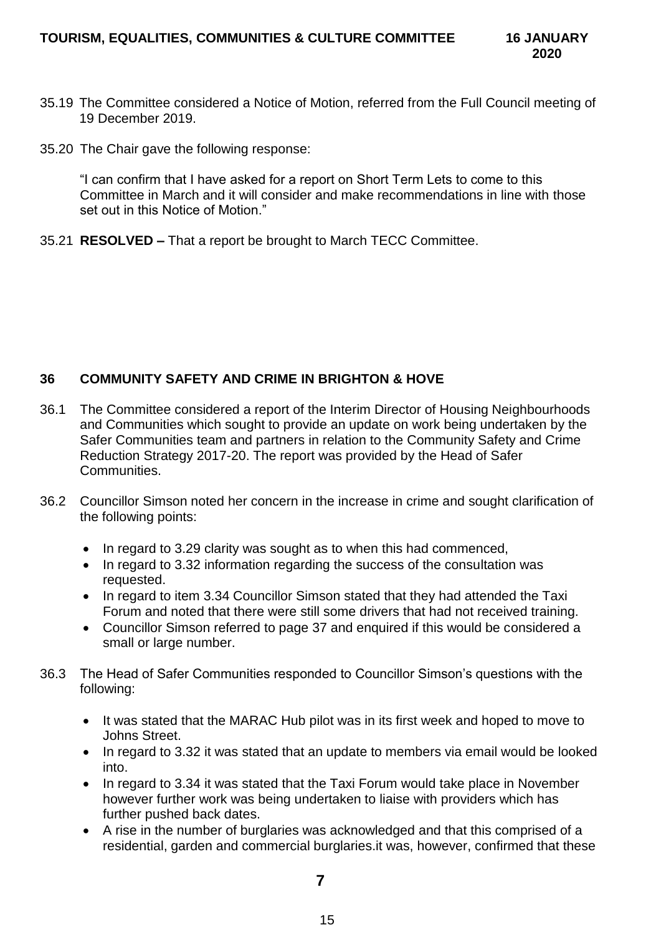- 35.19 The Committee considered a Notice of Motion, referred from the Full Council meeting of 19 December 2019.
- 35.20 The Chair gave the following response:

"I can confirm that I have asked for a report on Short Term Lets to come to this Committee in March and it will consider and make recommendations in line with those set out in this Notice of Motion."

35.21 **RESOLVED –** That a report be brought to March TECC Committee.

# **36 COMMUNITY SAFETY AND CRIME IN BRIGHTON & HOVE**

- 36.1 The Committee considered a report of the Interim Director of Housing Neighbourhoods and Communities which sought to provide an update on work being undertaken by the Safer Communities team and partners in relation to the Community Safety and Crime Reduction Strategy 2017-20. The report was provided by the Head of Safer Communities.
- 36.2 Councillor Simson noted her concern in the increase in crime and sought clarification of the following points:
	- In regard to 3.29 clarity was sought as to when this had commenced,
	- In regard to 3.32 information regarding the success of the consultation was requested.
	- In regard to item 3.34 Councillor Simson stated that they had attended the Taxi Forum and noted that there were still some drivers that had not received training.
	- Councillor Simson referred to page 37 and enquired if this would be considered a small or large number.
- 36.3 The Head of Safer Communities responded to Councillor Simson's questions with the following:
	- It was stated that the MARAC Hub pilot was in its first week and hoped to move to Johns Street.
	- In regard to 3.32 it was stated that an update to members via email would be looked into.
	- In regard to 3.34 it was stated that the Taxi Forum would take place in November however further work was being undertaken to liaise with providers which has further pushed back dates.
	- A rise in the number of burglaries was acknowledged and that this comprised of a residential, garden and commercial burglaries.it was, however, confirmed that these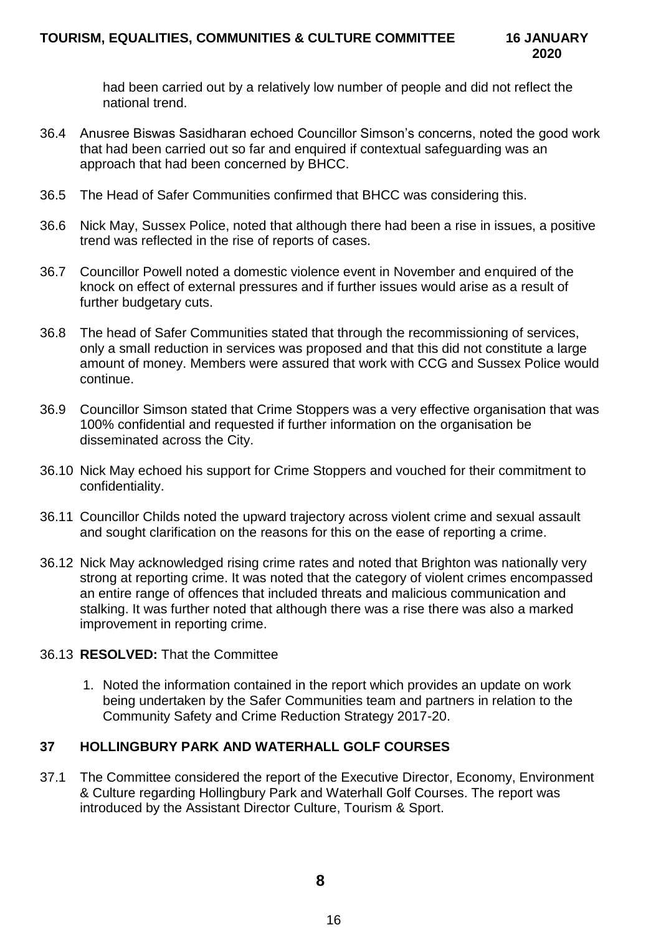had been carried out by a relatively low number of people and did not reflect the national trend.

- 36.4 Anusree Biswas Sasidharan echoed Councillor Simson's concerns, noted the good work that had been carried out so far and enquired if contextual safeguarding was an approach that had been concerned by BHCC.
- 36.5 The Head of Safer Communities confirmed that BHCC was considering this.
- 36.6 Nick May, Sussex Police, noted that although there had been a rise in issues, a positive trend was reflected in the rise of reports of cases.
- 36.7 Councillor Powell noted a domestic violence event in November and enquired of the knock on effect of external pressures and if further issues would arise as a result of further budgetary cuts.
- 36.8 The head of Safer Communities stated that through the recommissioning of services, only a small reduction in services was proposed and that this did not constitute a large amount of money. Members were assured that work with CCG and Sussex Police would continue.
- 36.9 Councillor Simson stated that Crime Stoppers was a very effective organisation that was 100% confidential and requested if further information on the organisation be disseminated across the City.
- 36.10 Nick May echoed his support for Crime Stoppers and vouched for their commitment to confidentiality.
- 36.11 Councillor Childs noted the upward trajectory across violent crime and sexual assault and sought clarification on the reasons for this on the ease of reporting a crime.
- 36.12 Nick May acknowledged rising crime rates and noted that Brighton was nationally very strong at reporting crime. It was noted that the category of violent crimes encompassed an entire range of offences that included threats and malicious communication and stalking. It was further noted that although there was a rise there was also a marked improvement in reporting crime.

## 36.13 **RESOLVED:** That the Committee

1. Noted the information contained in the report which provides an update on work being undertaken by the Safer Communities team and partners in relation to the Community Safety and Crime Reduction Strategy 2017-20.

# **37 HOLLINGBURY PARK AND WATERHALL GOLF COURSES**

37.1 The Committee considered the report of the Executive Director, Economy, Environment & Culture regarding Hollingbury Park and Waterhall Golf Courses. The report was introduced by the Assistant Director Culture, Tourism & Sport.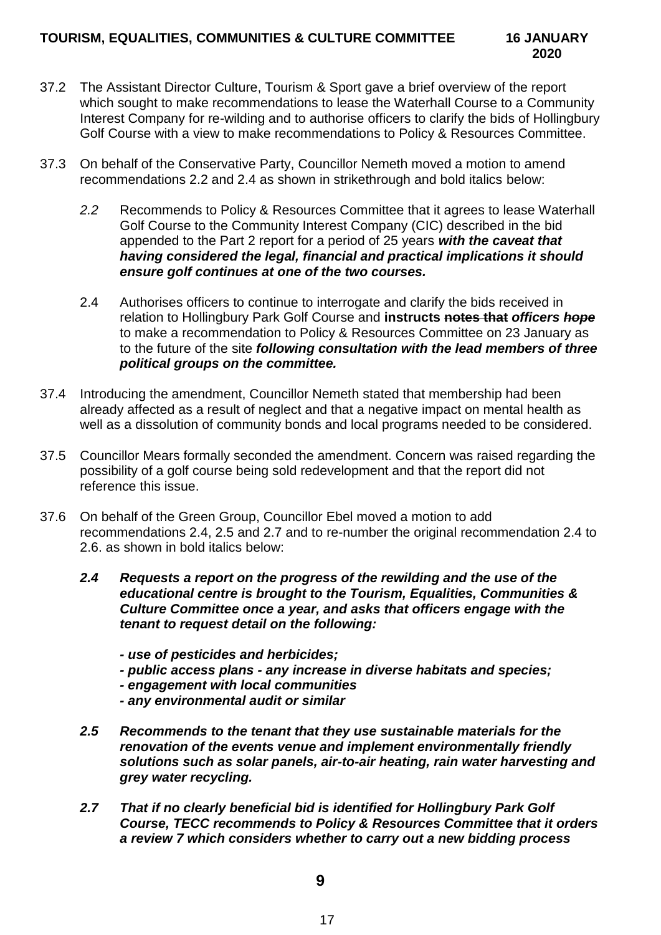- 37.2 The Assistant Director Culture, Tourism & Sport gave a brief overview of the report which sought to make recommendations to lease the Waterhall Course to a Community Interest Company for re-wilding and to authorise officers to clarify the bids of Hollingbury Golf Course with a view to make recommendations to Policy & Resources Committee.
- 37.3 On behalf of the Conservative Party, Councillor Nemeth moved a motion to amend recommendations 2.2 and 2.4 as shown in strikethrough and bold italics below:
	- *2.2* Recommends to Policy & Resources Committee that it agrees to lease Waterhall Golf Course to the Community Interest Company (CIC) described in the bid appended to the Part 2 report for a period of 25 years *with the caveat that having considered the legal, financial and practical implications it should ensure golf continues at one of the two courses.*
	- 2.4 Authorises officers to continue to interrogate and clarify the bids received in relation to Hollingbury Park Golf Course and **instructs notes that** *officers hope* to make a recommendation to Policy & Resources Committee on 23 January as to the future of the site *following consultation with the lead members of three political groups on the committee.*
- 37.4 Introducing the amendment, Councillor Nemeth stated that membership had been already affected as a result of neglect and that a negative impact on mental health as well as a dissolution of community bonds and local programs needed to be considered.
- 37.5 Councillor Mears formally seconded the amendment. Concern was raised regarding the possibility of a golf course being sold redevelopment and that the report did not reference this issue.
- 37.6 On behalf of the Green Group, Councillor Ebel moved a motion to add recommendations 2.4, 2.5 and 2.7 and to re-number the original recommendation 2.4 to 2.6. as shown in bold italics below:
	- *2.4 Requests a report on the progress of the rewilding and the use of the educational centre is brought to the Tourism, Equalities, Communities & Culture Committee once a year, and asks that officers engage with the tenant to request detail on the following:* 
		- *- use of pesticides and herbicides;*
		- *- public access plans - any increase in diverse habitats and species;*
		- *- engagement with local communities*
		- *- any environmental audit or similar*
	- *2.5 Recommends to the tenant that they use sustainable materials for the renovation of the events venue and implement environmentally friendly solutions such as solar panels, air-to-air heating, rain water harvesting and grey water recycling.*
	- *2.7 That if no clearly beneficial bid is identified for Hollingbury Park Golf Course, TECC recommends to Policy & Resources Committee that it orders a review 7 which considers whether to carry out a new bidding process*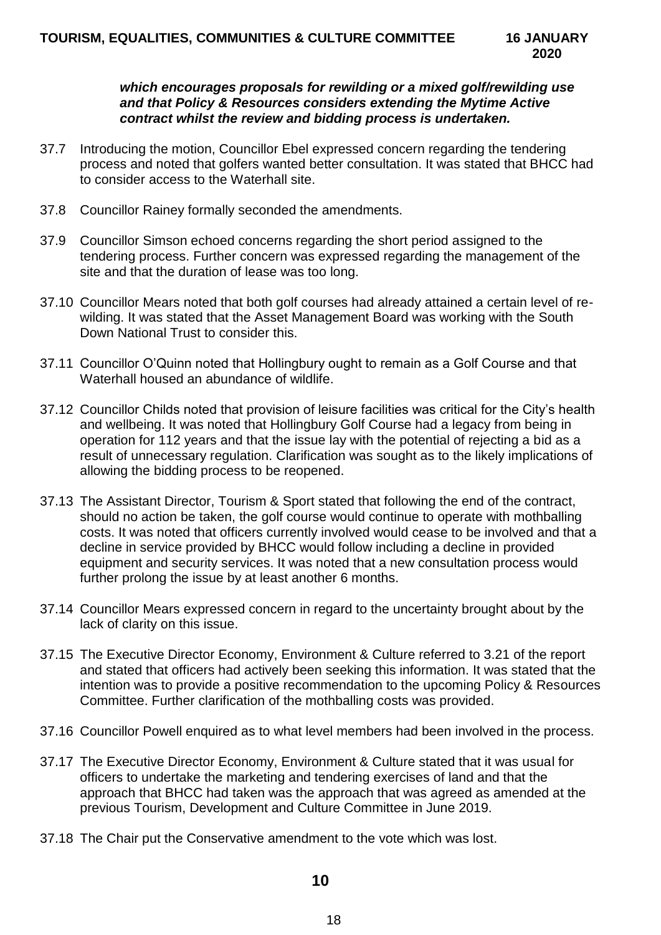### *which encourages proposals for rewilding or a mixed golf/rewilding use and that Policy & Resources considers extending the Mytime Active contract whilst the review and bidding process is undertaken.*

- 37.7 Introducing the motion, Councillor Ebel expressed concern regarding the tendering process and noted that golfers wanted better consultation. It was stated that BHCC had to consider access to the Waterhall site.
- 37.8 Councillor Rainey formally seconded the amendments.
- 37.9 Councillor Simson echoed concerns regarding the short period assigned to the tendering process. Further concern was expressed regarding the management of the site and that the duration of lease was too long.
- 37.10 Councillor Mears noted that both golf courses had already attained a certain level of rewilding. It was stated that the Asset Management Board was working with the South Down National Trust to consider this.
- 37.11 Councillor O'Quinn noted that Hollingbury ought to remain as a Golf Course and that Waterhall housed an abundance of wildlife.
- 37.12 Councillor Childs noted that provision of leisure facilities was critical for the City's health and wellbeing. It was noted that Hollingbury Golf Course had a legacy from being in operation for 112 years and that the issue lay with the potential of rejecting a bid as a result of unnecessary regulation. Clarification was sought as to the likely implications of allowing the bidding process to be reopened.
- 37.13 The Assistant Director, Tourism & Sport stated that following the end of the contract, should no action be taken, the golf course would continue to operate with mothballing costs. It was noted that officers currently involved would cease to be involved and that a decline in service provided by BHCC would follow including a decline in provided equipment and security services. It was noted that a new consultation process would further prolong the issue by at least another 6 months.
- 37.14 Councillor Mears expressed concern in regard to the uncertainty brought about by the lack of clarity on this issue.
- 37.15 The Executive Director Economy, Environment & Culture referred to 3.21 of the report and stated that officers had actively been seeking this information. It was stated that the intention was to provide a positive recommendation to the upcoming Policy & Resources Committee. Further clarification of the mothballing costs was provided.
- 37.16 Councillor Powell enquired as to what level members had been involved in the process.
- 37.17 The Executive Director Economy, Environment & Culture stated that it was usual for officers to undertake the marketing and tendering exercises of land and that the approach that BHCC had taken was the approach that was agreed as amended at the previous Tourism, Development and Culture Committee in June 2019.
- 37.18 The Chair put the Conservative amendment to the vote which was lost.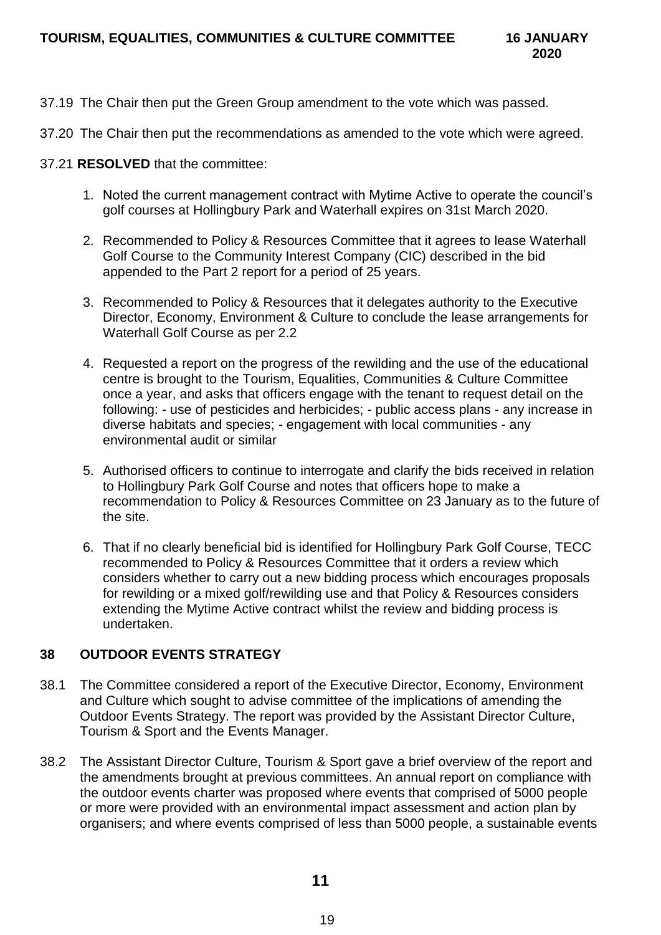- 37.19 The Chair then put the Green Group amendment to the vote which was passed.
- 37.20 The Chair then put the recommendations as amended to the vote which were agreed.
- 37.21 **RESOLVED** that the committee:
	- 1. Noted the current management contract with Mytime Active to operate the council's golf courses at Hollingbury Park and Waterhall expires on 31st March 2020.
	- 2. Recommended to Policy & Resources Committee that it agrees to lease Waterhall Golf Course to the Community Interest Company (CIC) described in the bid appended to the Part 2 report for a period of 25 years.
	- 3. Recommended to Policy & Resources that it delegates authority to the Executive Director, Economy, Environment & Culture to conclude the lease arrangements for Waterhall Golf Course as per 2.2
	- 4. Requested a report on the progress of the rewilding and the use of the educational centre is brought to the Tourism, Equalities, Communities & Culture Committee once a year, and asks that officers engage with the tenant to request detail on the following: - use of pesticides and herbicides; - public access plans - any increase in diverse habitats and species; - engagement with local communities - any environmental audit or similar
	- 5. Authorised officers to continue to interrogate and clarify the bids received in relation to Hollingbury Park Golf Course and notes that officers hope to make a recommendation to Policy & Resources Committee on 23 January as to the future of the site.
	- 6. That if no clearly beneficial bid is identified for Hollingbury Park Golf Course, TECC recommended to Policy & Resources Committee that it orders a review which considers whether to carry out a new bidding process which encourages proposals for rewilding or a mixed golf/rewilding use and that Policy & Resources considers extending the Mytime Active contract whilst the review and bidding process is undertaken.

# **38 OUTDOOR EVENTS STRATEGY**

- 38.1 The Committee considered a report of the Executive Director, Economy, Environment and Culture which sought to advise committee of the implications of amending the Outdoor Events Strategy. The report was provided by the Assistant Director Culture, Tourism & Sport and the Events Manager.
- 38.2 The Assistant Director Culture, Tourism & Sport gave a brief overview of the report and the amendments brought at previous committees. An annual report on compliance with the outdoor events charter was proposed where events that comprised of 5000 people or more were provided with an environmental impact assessment and action plan by organisers; and where events comprised of less than 5000 people, a sustainable events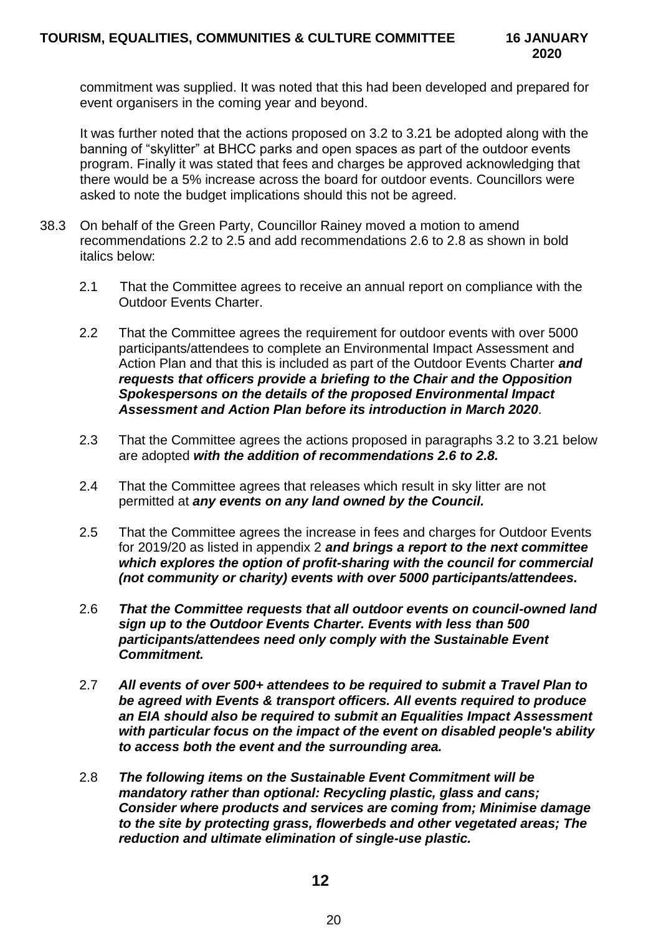commitment was supplied. It was noted that this had been developed and prepared for event organisers in the coming year and beyond.

It was further noted that the actions proposed on 3.2 to 3.21 be adopted along with the banning of "skylitter" at BHCC parks and open spaces as part of the outdoor events program. Finally it was stated that fees and charges be approved acknowledging that there would be a 5% increase across the board for outdoor events. Councillors were asked to note the budget implications should this not be agreed.

- 38.3 On behalf of the Green Party, Councillor Rainey moved a motion to amend recommendations 2.2 to 2.5 and add recommendations 2.6 to 2.8 as shown in bold italics below:
	- 2.1 That the Committee agrees to receive an annual report on compliance with the Outdoor Events Charter.
	- 2.2 That the Committee agrees the requirement for outdoor events with over 5000 participants/attendees to complete an Environmental Impact Assessment and Action Plan and that this is included as part of the Outdoor Events Charter *and requests that officers provide a briefing to the Chair and the Opposition Spokespersons on the details of the proposed Environmental Impact Assessment and Action Plan before its introduction in March 2020.*
	- 2.3 That the Committee agrees the actions proposed in paragraphs 3.2 to 3.21 below are adopted *with the addition of recommendations 2.6 to 2.8.*
	- 2.4 That the Committee agrees that releases which result in sky litter are not permitted at *any events on any land owned by the Council.*
	- 2.5 That the Committee agrees the increase in fees and charges for Outdoor Events for 2019/20 as listed in appendix 2 *and brings a report to the next committee which explores the option of profit-sharing with the council for commercial (not community or charity) events with over 5000 participants/attendees.*
	- 2.6 *That the Committee requests that all outdoor events on council-owned land sign up to the Outdoor Events Charter. Events with less than 500 participants/attendees need only comply with the Sustainable Event Commitment.*
	- 2.7 *All events of over 500+ attendees to be required to submit a Travel Plan to be agreed with Events & transport officers. All events required to produce an EIA should also be required to submit an Equalities Impact Assessment with particular focus on the impact of the event on disabled people's ability to access both the event and the surrounding area.*
	- 2.8 *The following items on the Sustainable Event Commitment will be mandatory rather than optional: Recycling plastic, glass and cans; Consider where products and services are coming from; Minimise damage to the site by protecting grass, flowerbeds and other vegetated areas; The reduction and ultimate elimination of single-use plastic.*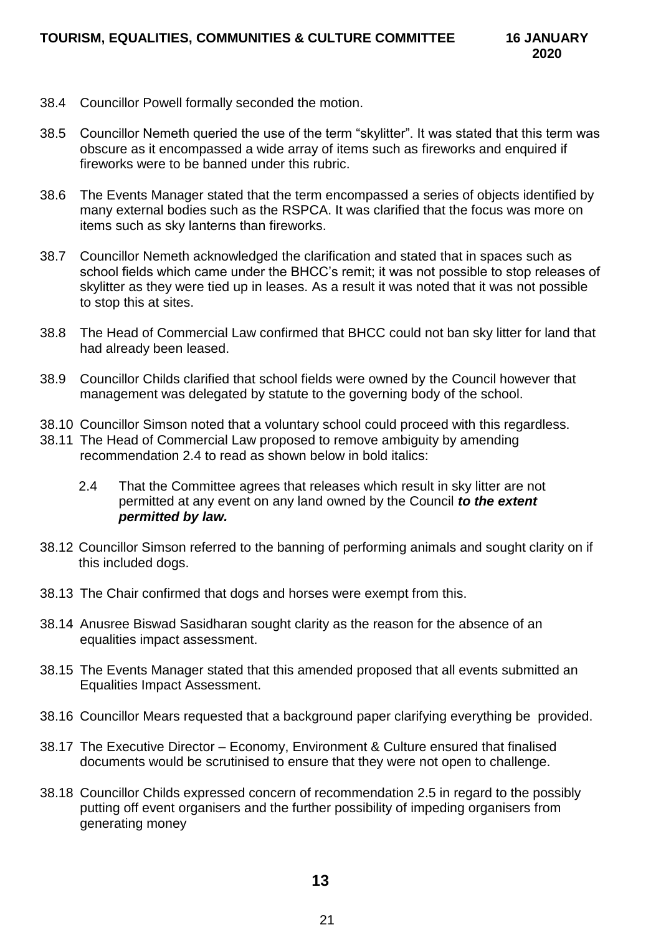- 38.4 Councillor Powell formally seconded the motion.
- 38.5 Councillor Nemeth queried the use of the term "skylitter". It was stated that this term was obscure as it encompassed a wide array of items such as fireworks and enquired if fireworks were to be banned under this rubric.
- 38.6 The Events Manager stated that the term encompassed a series of objects identified by many external bodies such as the RSPCA. It was clarified that the focus was more on items such as sky lanterns than fireworks.
- 38.7 Councillor Nemeth acknowledged the clarification and stated that in spaces such as school fields which came under the BHCC's remit; it was not possible to stop releases of skylitter as they were tied up in leases. As a result it was noted that it was not possible to stop this at sites.
- 38.8 The Head of Commercial Law confirmed that BHCC could not ban sky litter for land that had already been leased.
- 38.9 Councillor Childs clarified that school fields were owned by the Council however that management was delegated by statute to the governing body of the school.
- 38.10 Councillor Simson noted that a voluntary school could proceed with this regardless.
- 38.11 The Head of Commercial Law proposed to remove ambiguity by amending recommendation 2.4 to read as shown below in bold italics:
	- 2.4 That the Committee agrees that releases which result in sky litter are not permitted at any event on any land owned by the Council *to the extent permitted by law.*
- 38.12 Councillor Simson referred to the banning of performing animals and sought clarity on if this included dogs.
- 38.13 The Chair confirmed that dogs and horses were exempt from this.
- 38.14 Anusree Biswad Sasidharan sought clarity as the reason for the absence of an equalities impact assessment.
- 38.15 The Events Manager stated that this amended proposed that all events submitted an Equalities Impact Assessment.
- 38.16 Councillor Mears requested that a background paper clarifying everything be provided.
- 38.17 The Executive Director Economy, Environment & Culture ensured that finalised documents would be scrutinised to ensure that they were not open to challenge.
- 38.18 Councillor Childs expressed concern of recommendation 2.5 in regard to the possibly putting off event organisers and the further possibility of impeding organisers from generating money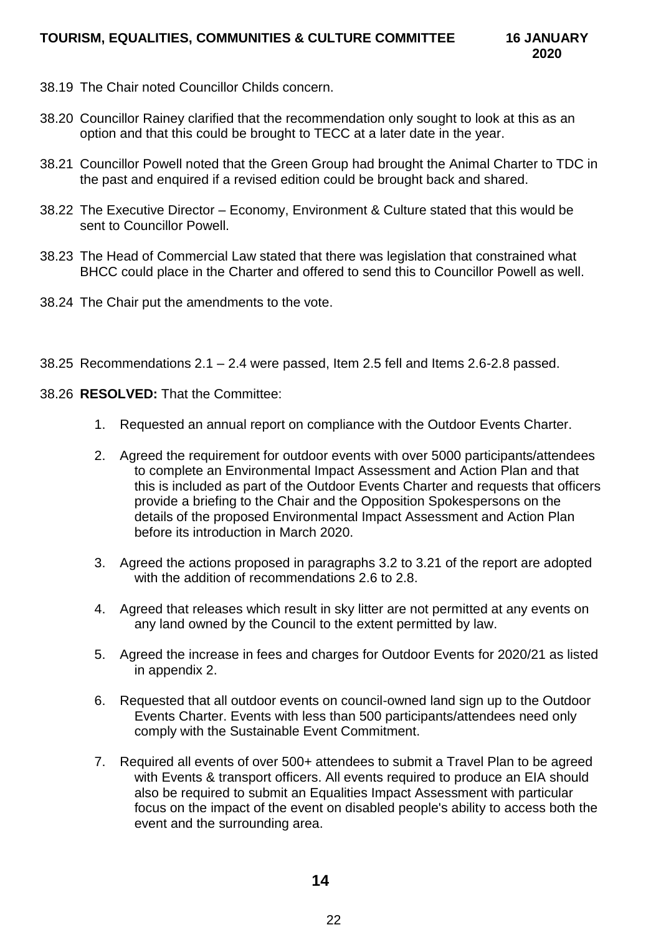- 38.19 The Chair noted Councillor Childs concern.
- 38.20 Councillor Rainey clarified that the recommendation only sought to look at this as an option and that this could be brought to TECC at a later date in the year.
- 38.21 Councillor Powell noted that the Green Group had brought the Animal Charter to TDC in the past and enquired if a revised edition could be brought back and shared.
- 38.22 The Executive Director Economy, Environment & Culture stated that this would be sent to Councillor Powell.
- 38.23 The Head of Commercial Law stated that there was legislation that constrained what BHCC could place in the Charter and offered to send this to Councillor Powell as well.
- 38.24 The Chair put the amendments to the vote.
- 38.25 Recommendations 2.1 2.4 were passed, Item 2.5 fell and Items 2.6-2.8 passed.
- 38.26 **RESOLVED:** That the Committee:
	- 1. Requested an annual report on compliance with the Outdoor Events Charter.
	- 2. Agreed the requirement for outdoor events with over 5000 participants/attendees to complete an Environmental Impact Assessment and Action Plan and that this is included as part of the Outdoor Events Charter and requests that officers provide a briefing to the Chair and the Opposition Spokespersons on the details of the proposed Environmental Impact Assessment and Action Plan before its introduction in March 2020.
	- 3. Agreed the actions proposed in paragraphs 3.2 to 3.21 of the report are adopted with the addition of recommendations 2.6 to 2.8.
	- 4. Agreed that releases which result in sky litter are not permitted at any events on any land owned by the Council to the extent permitted by law.
	- 5. Agreed the increase in fees and charges for Outdoor Events for 2020/21 as listed in appendix 2.
	- 6. Requested that all outdoor events on council-owned land sign up to the Outdoor Events Charter. Events with less than 500 participants/attendees need only comply with the Sustainable Event Commitment.
	- 7. Required all events of over 500+ attendees to submit a Travel Plan to be agreed with Events & transport officers. All events required to produce an EIA should also be required to submit an Equalities Impact Assessment with particular focus on the impact of the event on disabled people's ability to access both the event and the surrounding area.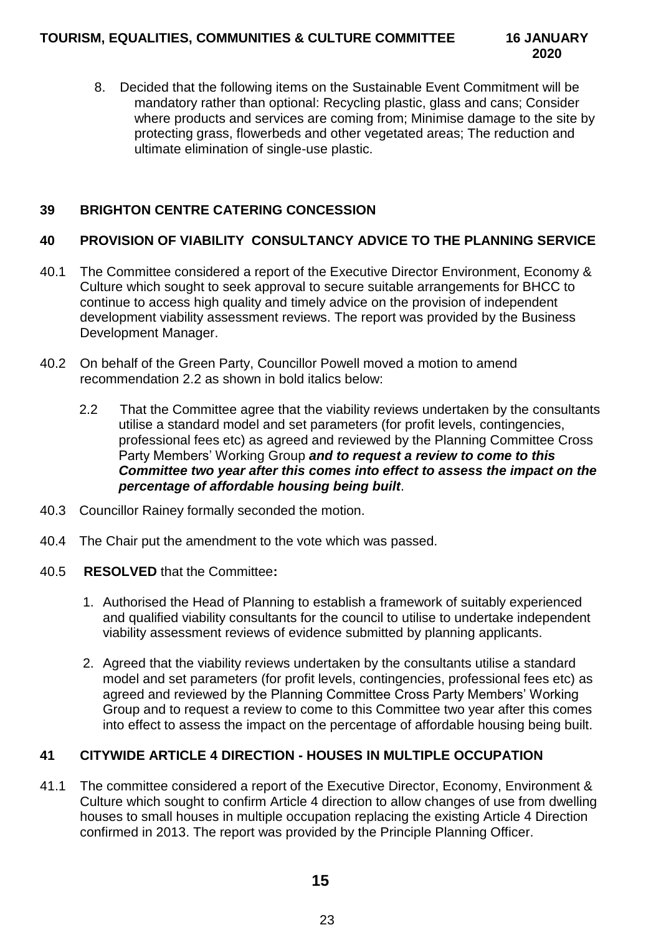8. Decided that the following items on the Sustainable Event Commitment will be mandatory rather than optional: Recycling plastic, glass and cans; Consider where products and services are coming from; Minimise damage to the site by protecting grass, flowerbeds and other vegetated areas; The reduction and ultimate elimination of single-use plastic.

# **39 BRIGHTON CENTRE CATERING CONCESSION**

# **40 PROVISION OF VIABILITY CONSULTANCY ADVICE TO THE PLANNING SERVICE**

- 40.1 The Committee considered a report of the Executive Director Environment, Economy & Culture which sought to seek approval to secure suitable arrangements for BHCC to continue to access high quality and timely advice on the provision of independent development viability assessment reviews. The report was provided by the Business Development Manager.
- 40.2 On behalf of the Green Party, Councillor Powell moved a motion to amend recommendation 2.2 as shown in bold italics below:
	- 2.2 That the Committee agree that the viability reviews undertaken by the consultants utilise a standard model and set parameters (for profit levels, contingencies, professional fees etc) as agreed and reviewed by the Planning Committee Cross Party Members' Working Group *and to request a review to come to this Committee two year after this comes into effect to assess the impact on the percentage of affordable housing being built*.
- 40.3 Councillor Rainey formally seconded the motion.
- 40.4 The Chair put the amendment to the vote which was passed.
- 40.5 **RESOLVED** that the Committee**:**
	- 1. Authorised the Head of Planning to establish a framework of suitably experienced and qualified viability consultants for the council to utilise to undertake independent viability assessment reviews of evidence submitted by planning applicants.
	- 2. Agreed that the viability reviews undertaken by the consultants utilise a standard model and set parameters (for profit levels, contingencies, professional fees etc) as agreed and reviewed by the Planning Committee Cross Party Members' Working Group and to request a review to come to this Committee two year after this comes into effect to assess the impact on the percentage of affordable housing being built.

# **41 CITYWIDE ARTICLE 4 DIRECTION - HOUSES IN MULTIPLE OCCUPATION**

41.1 The committee considered a report of the Executive Director, Economy, Environment & Culture which sought to confirm Article 4 direction to allow changes of use from dwelling houses to small houses in multiple occupation replacing the existing Article 4 Direction confirmed in 2013. The report was provided by the Principle Planning Officer.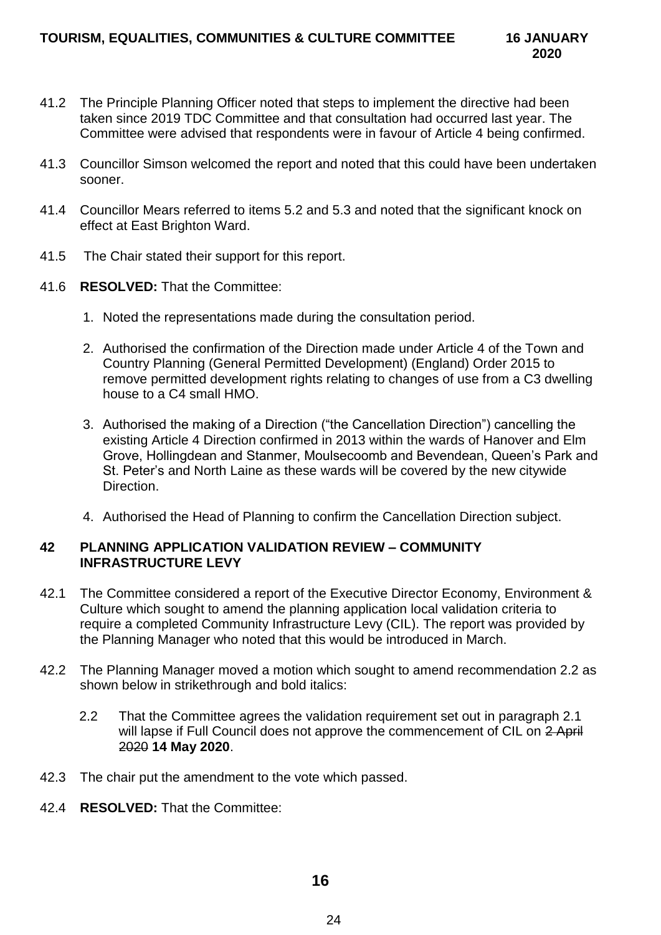- 41.2 The Principle Planning Officer noted that steps to implement the directive had been taken since 2019 TDC Committee and that consultation had occurred last year. The Committee were advised that respondents were in favour of Article 4 being confirmed.
- 41.3 Councillor Simson welcomed the report and noted that this could have been undertaken sooner.
- 41.4 Councillor Mears referred to items 5.2 and 5.3 and noted that the significant knock on effect at East Brighton Ward.
- 41.5 The Chair stated their support for this report.
- 41.6 **RESOLVED:** That the Committee:
	- 1. Noted the representations made during the consultation period.
	- 2. Authorised the confirmation of the Direction made under Article 4 of the Town and Country Planning (General Permitted Development) (England) Order 2015 to remove permitted development rights relating to changes of use from a C3 dwelling house to a C4 small HMO.
	- 3. Authorised the making of a Direction ("the Cancellation Direction") cancelling the existing Article 4 Direction confirmed in 2013 within the wards of Hanover and Elm Grove, Hollingdean and Stanmer, Moulsecoomb and Bevendean, Queen's Park and St. Peter's and North Laine as these wards will be covered by the new citywide Direction.
	- 4. Authorised the Head of Planning to confirm the Cancellation Direction subject.

## **42 PLANNING APPLICATION VALIDATION REVIEW – COMMUNITY INFRASTRUCTURE LEVY**

- 42.1 The Committee considered a report of the Executive Director Economy, Environment & Culture which sought to amend the planning application local validation criteria to require a completed Community Infrastructure Levy (CIL). The report was provided by the Planning Manager who noted that this would be introduced in March.
- 42.2 The Planning Manager moved a motion which sought to amend recommendation 2.2 as shown below in strikethrough and bold italics:
	- 2.2 That the Committee agrees the validation requirement set out in paragraph 2.1 will lapse if Full Council does not approve the commencement of CIL on 2 April 2020 **14 May 2020**.
- 42.3 The chair put the amendment to the vote which passed.
- 42.4 **RESOLVED:** That the Committee: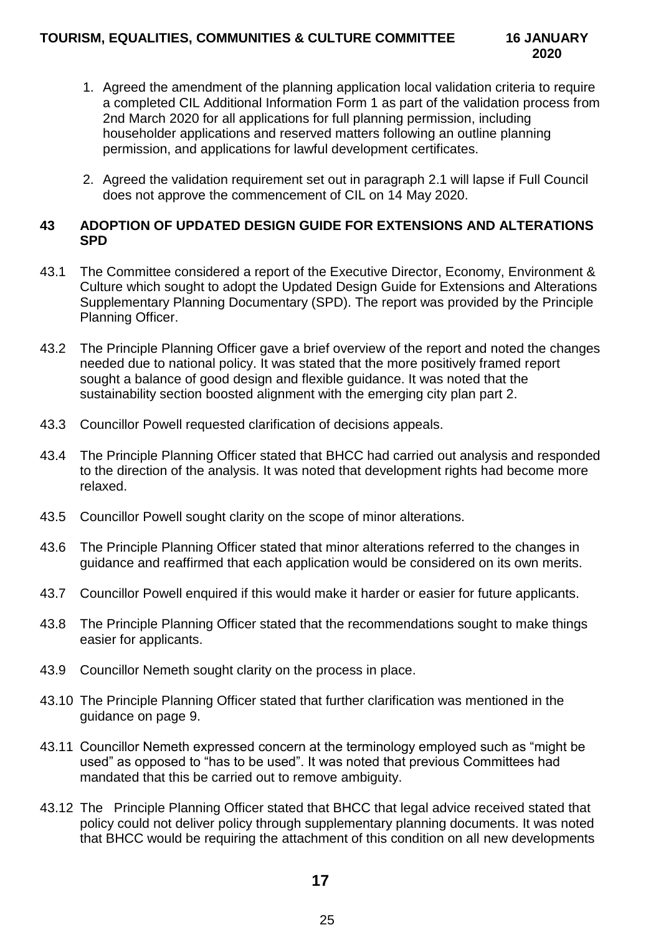- 1. Agreed the amendment of the planning application local validation criteria to require a completed CIL Additional Information Form 1 as part of the validation process from 2nd March 2020 for all applications for full planning permission, including householder applications and reserved matters following an outline planning permission, and applications for lawful development certificates.
- 2. Agreed the validation requirement set out in paragraph 2.1 will lapse if Full Council does not approve the commencement of CIL on 14 May 2020.

## **43 ADOPTION OF UPDATED DESIGN GUIDE FOR EXTENSIONS AND ALTERATIONS SPD**

- 43.1 The Committee considered a report of the Executive Director, Economy, Environment & Culture which sought to adopt the Updated Design Guide for Extensions and Alterations Supplementary Planning Documentary (SPD). The report was provided by the Principle Planning Officer.
- 43.2 The Principle Planning Officer gave a brief overview of the report and noted the changes needed due to national policy. It was stated that the more positively framed report sought a balance of good design and flexible guidance. It was noted that the sustainability section boosted alignment with the emerging city plan part 2.
- 43.3 Councillor Powell requested clarification of decisions appeals.
- 43.4 The Principle Planning Officer stated that BHCC had carried out analysis and responded to the direction of the analysis. It was noted that development rights had become more relaxed.
- 43.5 Councillor Powell sought clarity on the scope of minor alterations.
- 43.6 The Principle Planning Officer stated that minor alterations referred to the changes in guidance and reaffirmed that each application would be considered on its own merits.
- 43.7 Councillor Powell enquired if this would make it harder or easier for future applicants.
- 43.8 The Principle Planning Officer stated that the recommendations sought to make things easier for applicants.
- 43.9 Councillor Nemeth sought clarity on the process in place.
- 43.10 The Principle Planning Officer stated that further clarification was mentioned in the guidance on page 9.
- 43.11 Councillor Nemeth expressed concern at the terminology employed such as "might be used" as opposed to "has to be used". It was noted that previous Committees had mandated that this be carried out to remove ambiguity.
- 43.12 The Principle Planning Officer stated that BHCC that legal advice received stated that policy could not deliver policy through supplementary planning documents. It was noted that BHCC would be requiring the attachment of this condition on all new developments